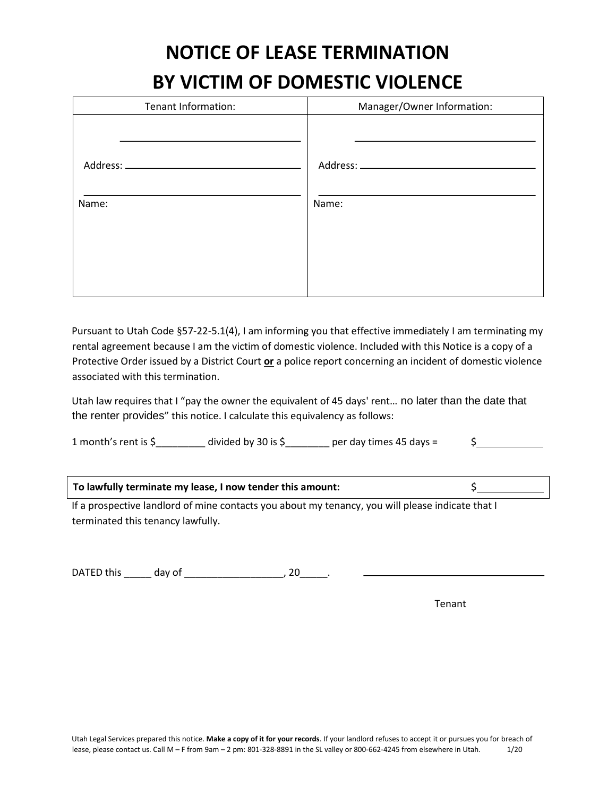# **NOTICE OF LEASE TERMINATION**

## **BY VICTIM OF DOMESTIC VIOLENCE**

| Tenant Information: | Manager/Owner Information: |  |
|---------------------|----------------------------|--|
|                     |                            |  |
| Name:               | Name:                      |  |

Pursuant to Utah Code §57-22-5.1(4), I am informing you that effective immediately I am terminating my rental agreement because I am the victim of domestic violence. Included with this Notice is a copy of a Protective Order issued by a District Court **or** a police report concerning an incident of domestic violence associated with this termination.

Utah law requires that I "pay the owner the equivalent of 45 days' rent... no later than the date that the renter provides" this notice. I calculate this equivalency as follows:

| 1 month's rent is $\zeta$ | divided by 30 is $\frac{1}{2}$ | per day times 45 days $=$ |  |
|---------------------------|--------------------------------|---------------------------|--|
|---------------------------|--------------------------------|---------------------------|--|

|  | To lawfully terminate my lease, I now tender this amount: |  |
|--|-----------------------------------------------------------|--|
|--|-----------------------------------------------------------|--|

If a prospective landlord of mine contacts you about my tenancy, you will please indicate that I terminated this tenancy lawfully.

DATED this \_\_\_\_\_\_ day of \_\_\_\_\_\_\_\_\_\_\_\_\_\_\_\_\_\_\_\_\_\_, 20\_\_\_\_\_\_.

Tenant